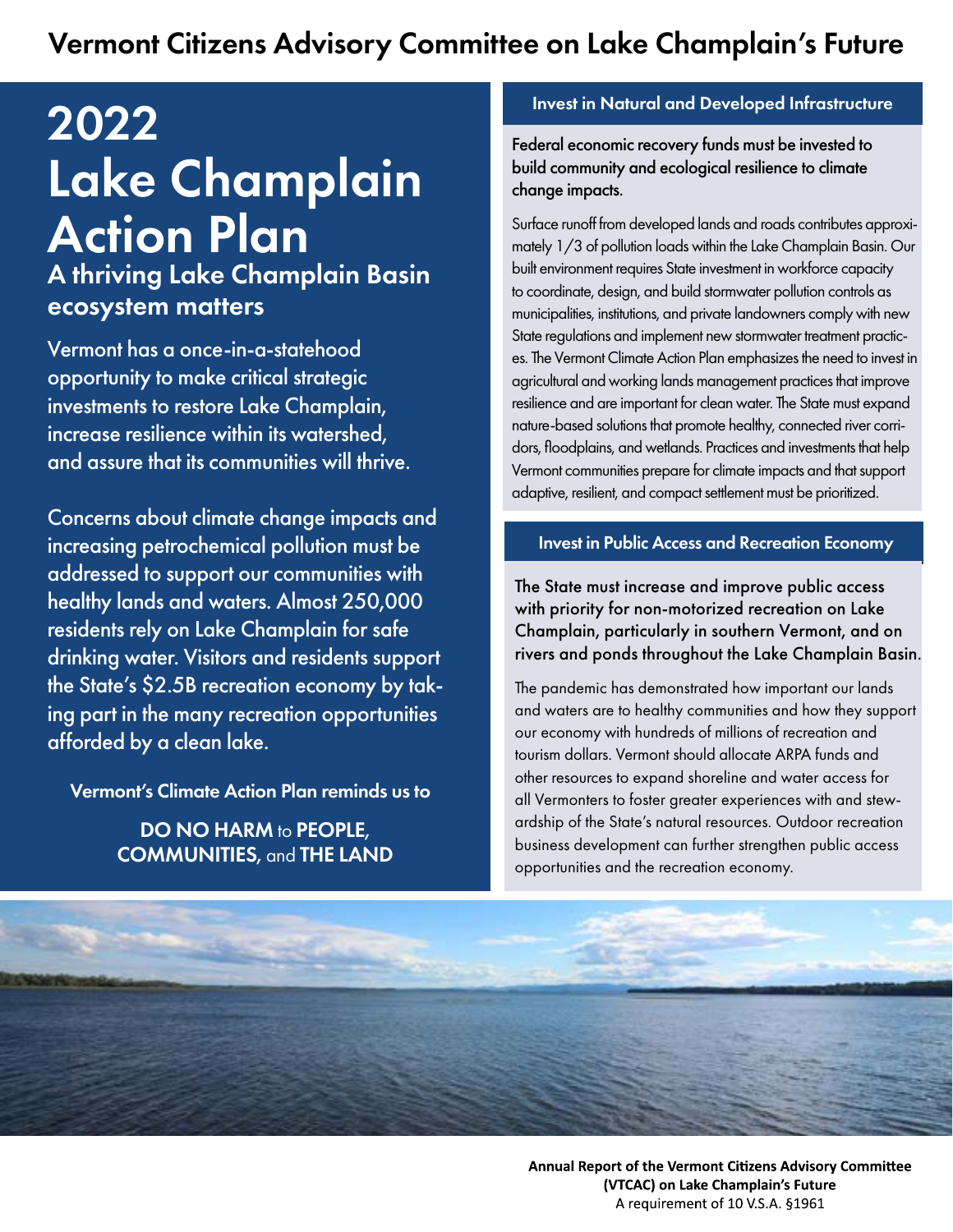# Vermont Citizens Advisory Committee on Lake Champlain's Future

# 2022 Lake Champlain Action Plan

A thriving Lake Champlain Basin ecosystem matters

Vermont has a once-in-a-statehood opportunity to make critical strategic investments to restore Lake Champlain, increase resilience within its watershed, and assure that its communities will thrive.

Concerns about climate change impacts and increasing petrochemical pollution must be addressed to support our communities with healthy lands and waters. Almost 250,000 residents rely on Lake Champlain for safe drinking water. Visitors and residents support the State's \$2.5B recreation economy by taking part in the many recreation opportunities afforded by a clean lake.

Vermont's Climate Action Plan reminds us to

DO NO HARM to PEOPLE, COMMUNITIES, and THE LAND

#### Invest in Natural and Developed Infrastructure

Federal economic recovery funds must be invested to build community and ecological resilience to climate change impacts.

Surface runoff from developed lands and roads contributes approximately 1/3 of pollution loads within the Lake Champlain Basin. Our built environment requires State investment in workforce capacity to coordinate, design, and build stormwater pollution controls as municipalities, institutions, and private landowners comply with new State regulations and implement new stormwater treatment practices. The Vermont Climate Action Plan emphasizes the need to invest in agricultural and working lands management practices that improve resilience and are important for clean water. The State must expand nature-based solutions that promote healthy, connected river corridors, floodplains, and wetlands. Practices and investments that help Vermont communities prepare for climate impacts and that support adaptive, resilient, and compact settlement must be prioritized.

#### Invest in Public Access and Recreation Economy

The State must increase and improve public access with priority for non-motorized recreation on Lake Champlain, particularly in southern Vermont, and on rivers and ponds throughout the Lake Champlain Basin.

The pandemic has demonstrated how important our lands and waters are to healthy communities and how they support our economy with hundreds of millions of recreation and tourism dollars. Vermont should allocate ARPA funds and other resources to expand shoreline and water access for all Vermonters to foster greater experiences with and stewardship of the State's natural resources. Outdoor recreation business development can further strengthen public access opportunities and the recreation economy.



Annual Report of the Vermont Citizens Advisory Committee (VTCAC) on Lake Champlain's Future A requirement of 10 V.S.A. §1961